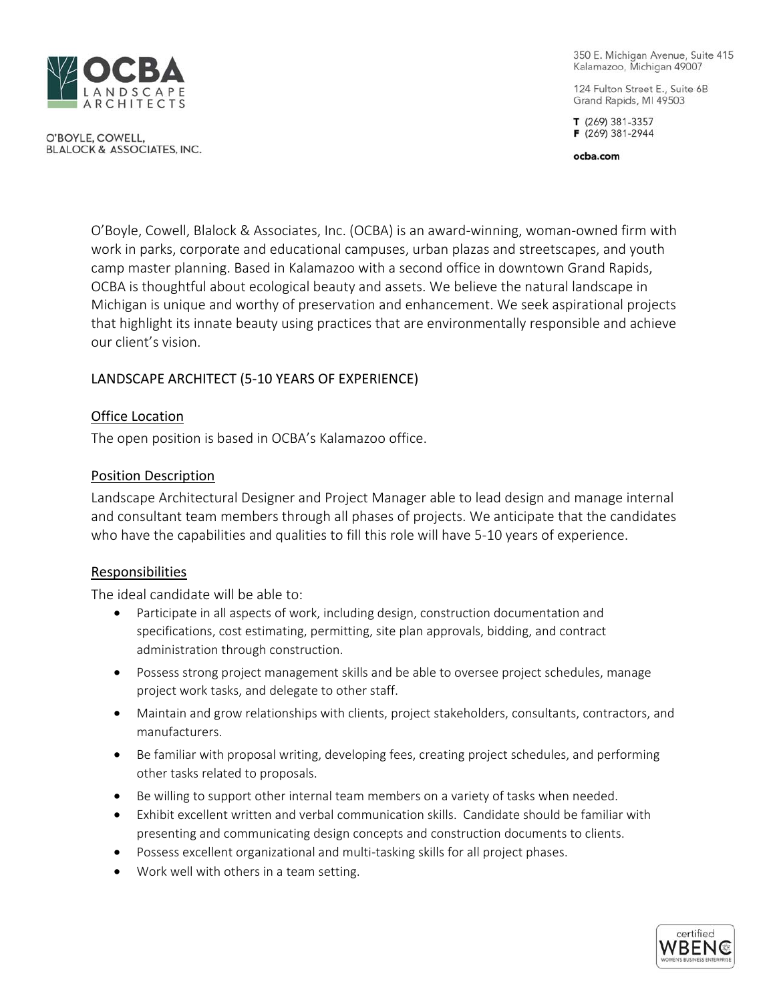

O'BOYLE, COWELL. **BLALOCK & ASSOCIATES, INC.**  350 E. Michigan Avenue, Suite 415 Kalamazoo, Michigan 49007

124 Fulton Street E., Suite 6B Grand Rapids, MI 49503

T (269) 381-3357 F (269) 381-2944

ocba.com

O'Boyle, Cowell, Blalock & Associates, Inc. (OCBA) is an award-winning, woman-owned firm with work in parks, corporate and educational campuses, urban plazas and streetscapes, and youth camp master planning. Based in Kalamazoo with a second office in downtown Grand Rapids, OCBA is thoughtful about ecological beauty and assets. We believe the natural landscape in Michigan is unique and worthy of preservation and enhancement. We seek aspirational projects that highlight its innate beauty using practices that are environmentally responsible and achieve our client's vision.

# LANDSCAPE ARCHITECT (5-10 YEARS OF EXPERIENCE)

## Office Location

The open position is based in OCBA's Kalamazoo office.

## Position Description

Landscape Architectural Designer and Project Manager able to lead design and manage internal and consultant team members through all phases of projects. We anticipate that the candidates who have the capabilities and qualities to fill this role will have 5-10 years of experience.

## Responsibilities

The ideal candidate will be able to:

- Participate in all aspects of work, including design, construction documentation and specifications, cost estimating, permitting, site plan approvals, bidding, and contract administration through construction.
- Possess strong project management skills and be able to oversee project schedules, manage project work tasks, and delegate to other staff.
- Maintain and grow relationships with clients, project stakeholders, consultants, contractors, and manufacturers.
- Be familiar with proposal writing, developing fees, creating project schedules, and performing other tasks related to proposals.
- Be willing to support other internal team members on a variety of tasks when needed.
- Exhibit excellent written and verbal communication skills. Candidate should be familiar with presenting and communicating design concepts and construction documents to clients.
- Possess excellent organizational and multi-tasking skills for all project phases.
- Work well with others in a team setting.